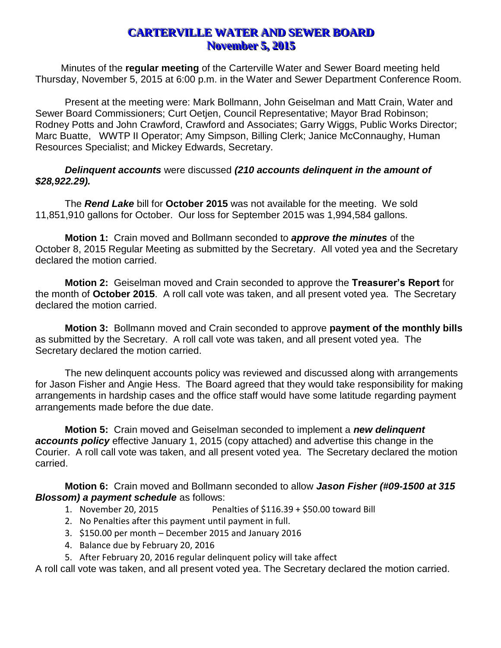# **CARTERVILLE WATER AND SEWER BOARD November 5, 2015**

Minutes of the **regular meeting** of the Carterville Water and Sewer Board meeting held Thursday, November 5, 2015 at 6:00 p.m. in the Water and Sewer Department Conference Room.

Present at the meeting were: Mark Bollmann, John Geiselman and Matt Crain, Water and Sewer Board Commissioners; Curt Oetjen, Council Representative; Mayor Brad Robinson; Rodney Potts and John Crawford, Crawford and Associates; Garry Wiggs, Public Works Director; Marc Buatte, WWTP II Operator; Amy Simpson, Billing Clerk; Janice McConnaughy, Human Resources Specialist; and Mickey Edwards, Secretary.

#### *Delinquent accounts* were discussed *(210 accounts delinquent in the amount of \$28,922.29).*

The *Rend Lake* bill for **October 2015** was not available for the meeting. We sold 11,851,910 gallons for October. Our loss for September 2015 was 1,994,584 gallons.

**Motion 1:** Crain moved and Bollmann seconded to *approve the minutes* of the October 8, 2015 Regular Meeting as submitted by the Secretary. All voted yea and the Secretary declared the motion carried.

**Motion 2:** Geiselman moved and Crain seconded to approve the **Treasurer's Report** for the month of **October 2015**. A roll call vote was taken, and all present voted yea. The Secretary declared the motion carried.

**Motion 3:** Bollmann moved and Crain seconded to approve **payment of the monthly bills** as submitted by the Secretary. A roll call vote was taken, and all present voted yea. The Secretary declared the motion carried.

The new delinquent accounts policy was reviewed and discussed along with arrangements for Jason Fisher and Angie Hess. The Board agreed that they would take responsibility for making arrangements in hardship cases and the office staff would have some latitude regarding payment arrangements made before the due date.

**Motion 5:** Crain moved and Geiselman seconded to implement a *new delinquent accounts policy* effective January 1, 2015 (copy attached) and advertise this change in the Courier. A roll call vote was taken, and all present voted yea. The Secretary declared the motion carried.

**Motion 6:** Crain moved and Bollmann seconded to allow *Jason Fisher (#09-1500 at 315 Blossom) a payment schedule* as follows:

- 1. November 20, 2015 Penalties of \$116.39 + \$50.00 toward Bill
- 2. No Penalties after this payment until payment in full.
- 3. \$150.00 per month December 2015 and January 2016
- 4. Balance due by February 20, 2016
- 5. After February 20, 2016 regular delinquent policy will take affect

A roll call vote was taken, and all present voted yea. The Secretary declared the motion carried.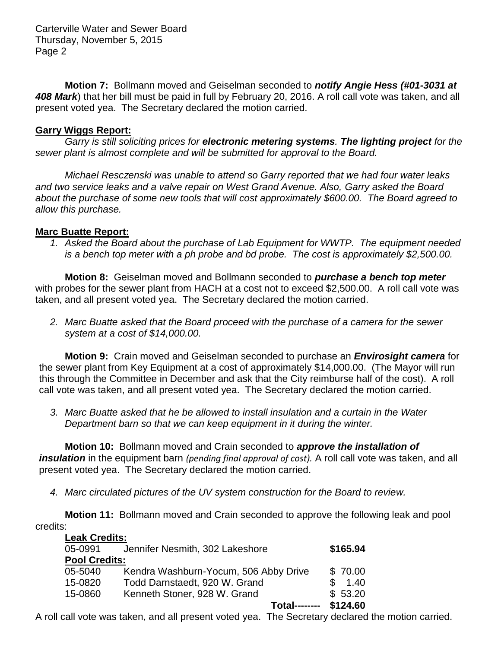Carterville Water and Sewer Board Thursday, November 5, 2015 Page 2

**Motion 7:** Bollmann moved and Geiselman seconded to *notify Angie Hess (#01-3031 at 408 Mark*) that her bill must be paid in full by February 20, 2016. A roll call vote was taken, and all present voted yea. The Secretary declared the motion carried.

#### **Garry Wiggs Report:**

*Garry is still soliciting prices for electronic metering systems. The lighting project for the sewer plant is almost complete and will be submitted for approval to the Board.*

*Michael Resczenski was unable to attend so Garry reported that we had four water leaks and two service leaks and a valve repair on West Grand Avenue. Also, Garry asked the Board about the purchase of some new tools that will cost approximately \$600.00. The Board agreed to allow this purchase.* 

### **Marc Buatte Report:**

*1. Asked the Board about the purchase of Lab Equipment for WWTP. The equipment needed is a bench top meter with a ph probe and bd probe. The cost is approximately \$2,500.00.*

**Motion 8:** Geiselman moved and Bollmann seconded to *purchase a bench top meter* with probes for the sewer plant from HACH at a cost not to exceed \$2,500.00. A roll call vote was taken, and all present voted yea. The Secretary declared the motion carried.

*2. Marc Buatte asked that the Board proceed with the purchase of a camera for the sewer system at a cost of \$14,000.00.*

**Motion 9:** Crain moved and Geiselman seconded to purchase an *Envirosight camera* for the sewer plant from Key Equipment at a cost of approximately \$14,000.00. (The Mayor will run this through the Committee in December and ask that the City reimburse half of the cost). A roll call vote was taken, and all present voted yea. The Secretary declared the motion carried.

*3. Marc Buatte asked that he be allowed to install insulation and a curtain in the Water Department barn so that we can keep equipment in it during the winter.* 

**Motion 10:** Bollmann moved and Crain seconded to *approve the installation of insulation* in the equipment barn *(pending final approval of cost).* A roll call vote was taken, and all present voted yea. The Secretary declared the motion carried.

*4. Marc circulated pictures of the UV system construction for the Board to review.*

**Motion 11:** Bollmann moved and Crain seconded to approve the following leak and pool credits:

| <b>Leak Credits:</b> |                                       |          |
|----------------------|---------------------------------------|----------|
| 05-0991              | Jennifer Nesmith, 302 Lakeshore       | \$165.94 |
| <b>Pool Credits:</b> |                                       |          |
| 05-5040              | Kendra Washburn-Yocum, 506 Abby Drive | \$70.00  |
| 15-0820              | Todd Darnstaedt, 920 W. Grand         | 1.40     |
| 15-0860              | Kenneth Stoner, 928 W. Grand          | \$53.20  |
|                      | Total-----                            | \$124.60 |

A roll call vote was taken, and all present voted yea. The Secretary declared the motion carried.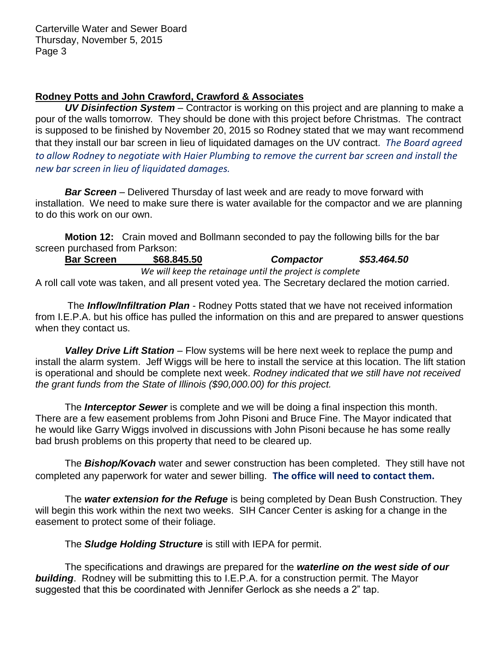## **Rodney Potts and John Crawford, Crawford & Associates**

*UV Disinfection System* – Contractor is working on this project and are planning to make a pour of the walls tomorrow. They should be done with this project before Christmas. The contract is supposed to be finished by November 20, 2015 so Rodney stated that we may want recommend that they install our bar screen in lieu of liquidated damages on the UV contract*. The Board agreed to allow Rodney to negotiate with Haier Plumbing to remove the current bar screen and install the new bar screen in lieu of liquidated damages.*

*Bar Screen* – Delivered Thursday of last week and are ready to move forward with installation. We need to make sure there is water available for the compactor and we are planning to do this work on our own.

**Motion 12:** Crain moved and Bollmann seconded to pay the following bills for the bar screen purchased from Parkson:

**Bar Screen \$68.845.50** *Compactor \$53.464.50 We will keep the retainage until the project is complete* A roll call vote was taken, and all present voted yea. The Secretary declared the motion carried.

The *Inflow/Infiltration Plan* - Rodney Potts stated that we have not received information from I.E.P.A. but his office has pulled the information on this and are prepared to answer questions when they contact us.

*Valley Drive Lift Station* – Flow systems will be here next week to replace the pump and install the alarm system. Jeff Wiggs will be here to install the service at this location. The lift station is operational and should be complete next week. *Rodney indicated that we still have not received the grant funds from the State of Illinois (\$90,000.00) for this project.*

The *Interceptor Sewer* is complete and we will be doing a final inspection this month. There are a few easement problems from John Pisoni and Bruce Fine. The Mayor indicated that he would like Garry Wiggs involved in discussions with John Pisoni because he has some really bad brush problems on this property that need to be cleared up.

The *Bishop/Kovach* water and sewer construction has been completed. They still have not completed any paperwork for water and sewer billing. **The office will need to contact them.**

The *water extension for the Refuge* is being completed by Dean Bush Construction. They will begin this work within the next two weeks. SIH Cancer Center is asking for a change in the easement to protect some of their foliage.

The *Sludge Holding Structure* is still with IEPA for permit.

The specifications and drawings are prepared for the *waterline on the west side of our building*. Rodney will be submitting this to I.E.P.A. for a construction permit. The Mayor suggested that this be coordinated with Jennifer Gerlock as she needs a 2" tap.